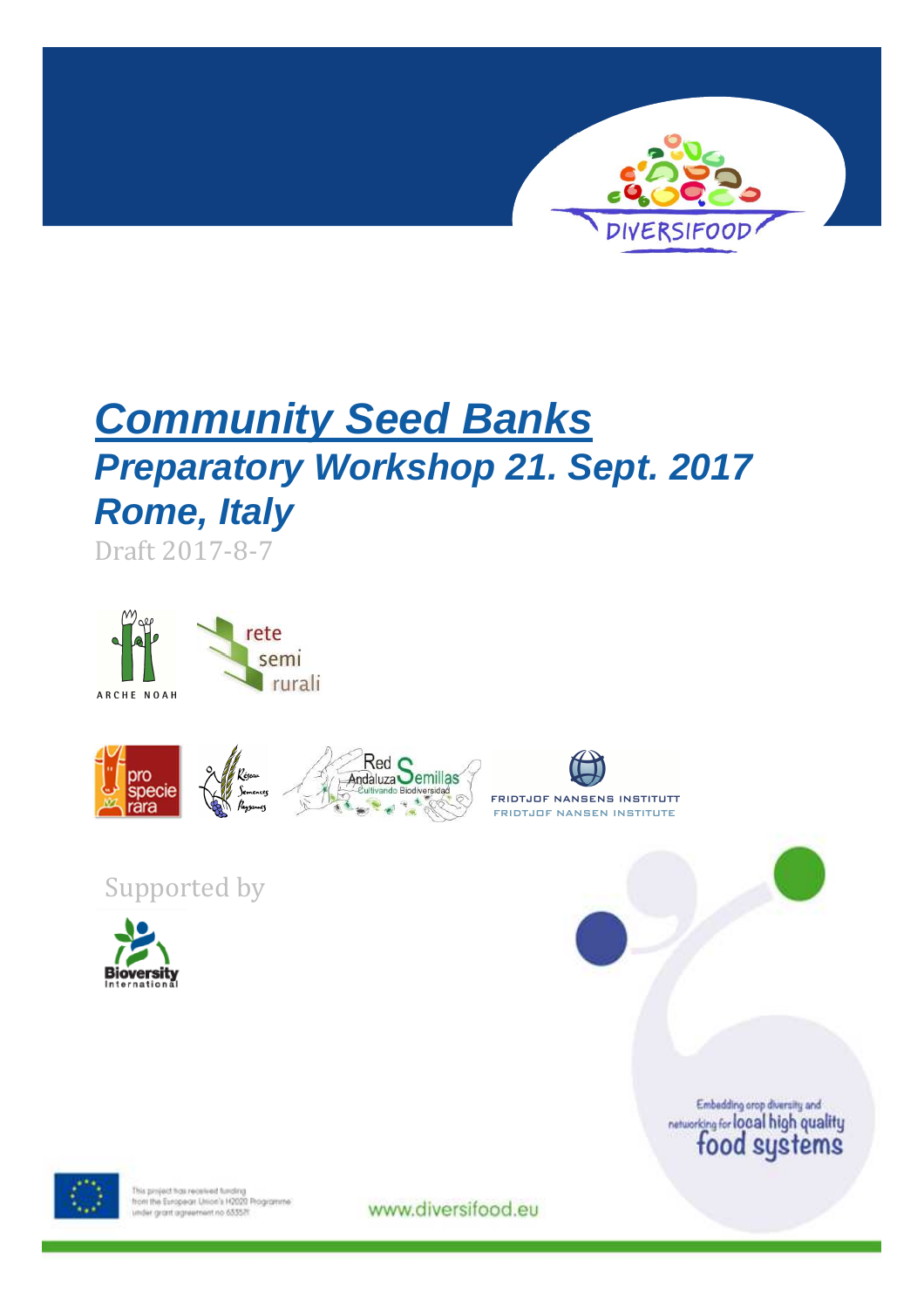

# **Community Seed Banks Preparatory Workshop 21. Sept. 2017 Rome, Italy**

Draft 2017-8-7











## Supported by



Embadding orap diversity and<br>networking for local high quality<br>food systems



This project has received funding<br>from the European Union's H2020 Programme<br>under grant agreement no 653521

www.diversifood.eu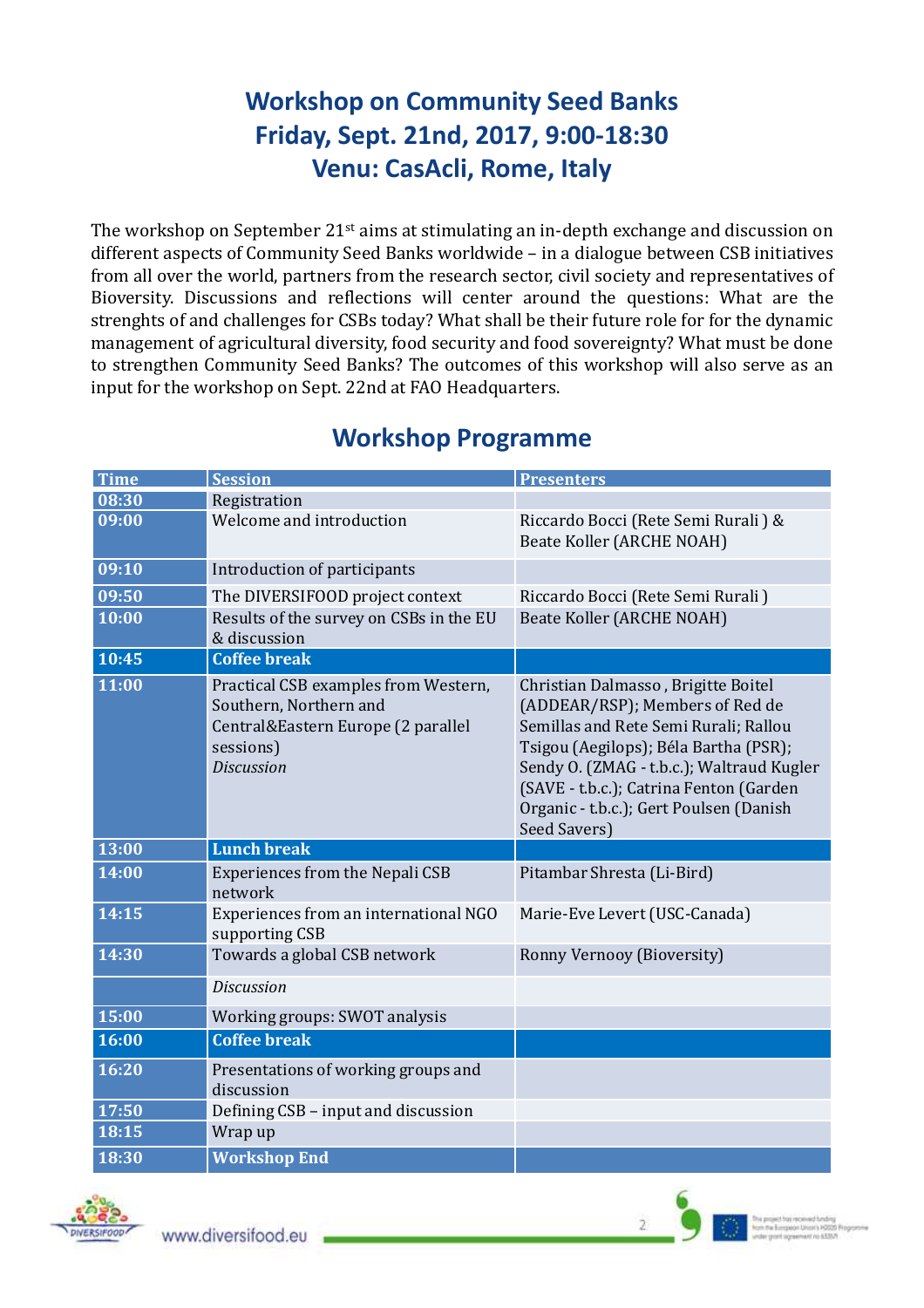## **Workshop on Community Seed Banks Friday, Sept. 21nd, 2017, 9:00-18:30 Venu: CasAcli, Rome, Italy**

The workshop on September 21<sup>st</sup> aims at stimulating an in-depth exchange and discussion on different aspects of Community Seed Banks worldwide – in a dialogue between CSB initiatives from all over the world, partners from the research sector, civil society and representatives of Bioversity. Discussions and reflections will center around the questions: What are the strenghts of and challenges for CSBs today? What shall be their future role for for the dynamic management of agricultural diversity, food security and food sovereignty? What must be done to strengthen Community Seed Banks? The outcomes of this workshop will also serve as an input for the workshop on Sept. 22nd at FAO Headquarters.

| <b>Time</b> | <b>Session</b>                                                                                                                         | <b>Presenters</b>                                                                                                                                                                                                                                                                                           |
|-------------|----------------------------------------------------------------------------------------------------------------------------------------|-------------------------------------------------------------------------------------------------------------------------------------------------------------------------------------------------------------------------------------------------------------------------------------------------------------|
| 08:30       | Registration                                                                                                                           |                                                                                                                                                                                                                                                                                                             |
| 09:00       | Welcome and introduction                                                                                                               | Riccardo Bocci (Rete Semi Rurali) &<br>Beate Koller (ARCHE NOAH)                                                                                                                                                                                                                                            |
| 09:10       | Introduction of participants                                                                                                           |                                                                                                                                                                                                                                                                                                             |
| 09:50       | The DIVERSIFOOD project context                                                                                                        | Riccardo Bocci (Rete Semi Rurali)                                                                                                                                                                                                                                                                           |
| 10:00       | Results of the survey on CSBs in the EU<br>& discussion                                                                                | <b>Beate Koller (ARCHE NOAH)</b>                                                                                                                                                                                                                                                                            |
| 10:45       | <b>Coffee break</b>                                                                                                                    |                                                                                                                                                                                                                                                                                                             |
| 11:00       | Practical CSB examples from Western,<br>Southern, Northern and<br>Central&Eastern Europe (2 parallel<br>sessions)<br><b>Discussion</b> | Christian Dalmasso, Brigitte Boitel<br>(ADDEAR/RSP); Members of Red de<br>Semillas and Rete Semi Rurali; Rallou<br>Tsigou (Aegilops); Béla Bartha (PSR);<br>Sendy O. (ZMAG - t.b.c.); Waltraud Kugler<br>(SAVE - t.b.c.); Catrina Fenton (Garden<br>Organic - t.b.c.); Gert Poulsen (Danish<br>Seed Savers) |
| 13:00       | <b>Lunch break</b>                                                                                                                     |                                                                                                                                                                                                                                                                                                             |
| 14:00       | Experiences from the Nepali CSB<br>network                                                                                             | Pitambar Shresta (Li-Bird)                                                                                                                                                                                                                                                                                  |
| 14:15       | Experiences from an international NGO<br>supporting CSB                                                                                | Marie-Eve Levert (USC-Canada)                                                                                                                                                                                                                                                                               |
| 14:30       | Towards a global CSB network                                                                                                           | Ronny Vernooy (Bioversity)                                                                                                                                                                                                                                                                                  |
|             | <b>Discussion</b>                                                                                                                      |                                                                                                                                                                                                                                                                                                             |
| 15:00       | Working groups: SWOT analysis                                                                                                          |                                                                                                                                                                                                                                                                                                             |
| 16:00       | <b>Coffee break</b>                                                                                                                    |                                                                                                                                                                                                                                                                                                             |
| 16:20       | Presentations of working groups and<br>discussion                                                                                      |                                                                                                                                                                                                                                                                                                             |
| 17:50       | Defining CSB - input and discussion                                                                                                    |                                                                                                                                                                                                                                                                                                             |
| 18:15       | Wrap up                                                                                                                                |                                                                                                                                                                                                                                                                                                             |
| 18:30       | <b>Workshop End</b>                                                                                                                    |                                                                                                                                                                                                                                                                                                             |

### **Workshop Programme**